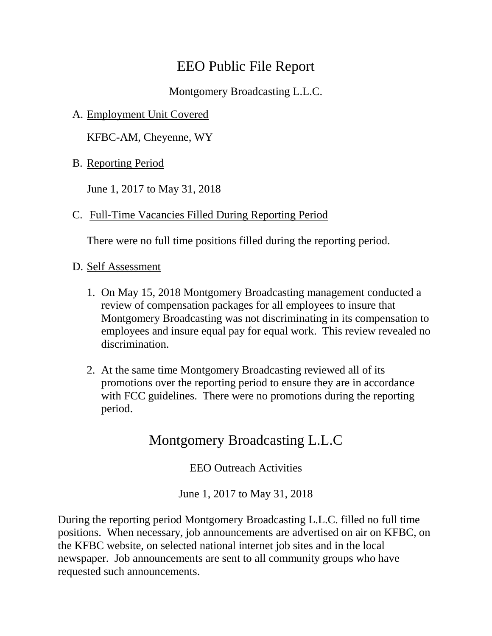## EEO Public File Report

Montgomery Broadcasting L.L.C.

A. Employment Unit Covered

KFBC-AM, Cheyenne, WY

B. Reporting Period

June 1, 2017 to May 31, 2018

C. Full-Time Vacancies Filled During Reporting Period

There were no full time positions filled during the reporting period.

- D. Self Assessment
	- 1. On May 15, 2018 Montgomery Broadcasting management conducted a review of compensation packages for all employees to insure that Montgomery Broadcasting was not discriminating in its compensation to employees and insure equal pay for equal work. This review revealed no discrimination.
	- 2. At the same time Montgomery Broadcasting reviewed all of its promotions over the reporting period to ensure they are in accordance with FCC guidelines. There were no promotions during the reporting period.

## Montgomery Broadcasting L.L.C

EEO Outreach Activities

June 1, 2017 to May 31, 2018

During the reporting period Montgomery Broadcasting L.L.C. filled no full time positions. When necessary, job announcements are advertised on air on KFBC, on the KFBC website, on selected national internet job sites and in the local newspaper. Job announcements are sent to all community groups who have requested such announcements.